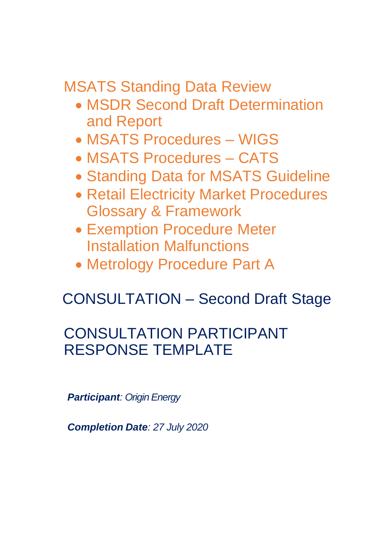MSATS Standing Data Review

- MSDR Second Draft Determination and Report
- MSATS Procedures WIGS
- MSATS Procedures CATS
- Standing Data for MSATS Guideline
- Retail Electricity Market Procedures Glossary & Framework
- Exemption Procedure Meter Installation Malfunctions
- Metrology Procedure Part A

# CONSULTATION – Second Draft Stage

## CONSULTATION PARTICIPANT RESPONSE TEMPLATE

*Participant: Origin Energy*

*Completion Date: 27 July 2020*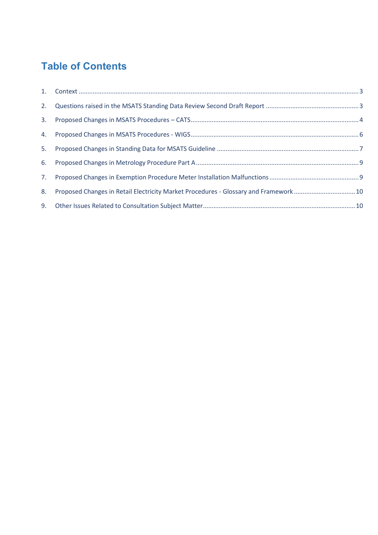### **Table of Contents**

| 8. | Proposed Changes in Retail Electricity Market Procedures - Glossary and Framework  10 |  |
|----|---------------------------------------------------------------------------------------|--|
|    |                                                                                       |  |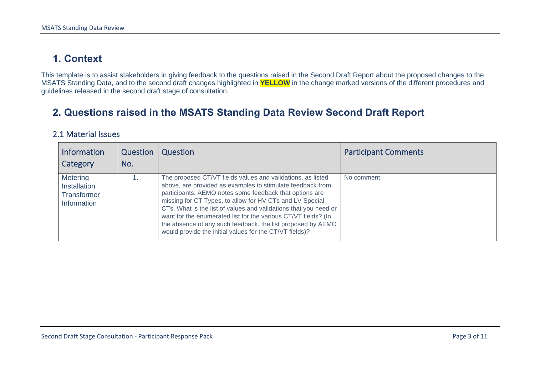#### **1. Context**

This template is to assist stakeholders in giving feedback to the questions raised in the Second Draft Report about the proposed changes to the MSATS Standing Data, and to the second draft changes highlighted in **YELLOW** in the change marked versions of the different procedures and guidelines released in the second draft stage of consultation.

#### **2. Questions raised in the MSATS Standing Data Review Second Draft Report**

#### 2.1 Material Issues

<span id="page-2-1"></span><span id="page-2-0"></span>

| <b>Information</b><br>Category                                       | Question<br>No. | Question                                                                                                                                                                                                                                                                                                                                                                                                                                                                                                         | <b>Participant Comments</b> |
|----------------------------------------------------------------------|-----------------|------------------------------------------------------------------------------------------------------------------------------------------------------------------------------------------------------------------------------------------------------------------------------------------------------------------------------------------------------------------------------------------------------------------------------------------------------------------------------------------------------------------|-----------------------------|
| <b>Metering</b><br>Installation<br><b>Transformer</b><br>Information |                 | The proposed CT/VT fields values and validations, as listed<br>above, are provided as examples to stimulate feedback from<br>participants. AEMO notes some feedback that options are<br>missing for CT Types, to allow for HV CTs and LV Special<br>CTs. What is the list of values and validations that you need or<br>want for the enumerated list for the various CT/VT fields? (In<br>the absence of any such feedback, the list proposed by AEMO<br>would provide the initial values for the CT/VT fields)? | No comment.                 |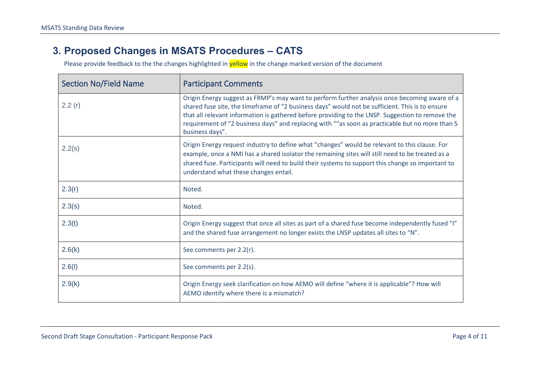#### **3. Proposed Changes in MSATS Procedures – CATS**

Please provide feedback to the the changes highlighted in **yellow** in the change marked version of the document

<span id="page-3-0"></span>

| <b>Section No/Field Name</b> | <b>Participant Comments</b>                                                                                                                                                                                                                                                                                                                                                                                                |
|------------------------------|----------------------------------------------------------------------------------------------------------------------------------------------------------------------------------------------------------------------------------------------------------------------------------------------------------------------------------------------------------------------------------------------------------------------------|
| 2.2(r)                       | Origin Energy suggest as FRMP's may want to perform further analysis once becoming aware of a<br>shared fuse site, the timeframe of "2 business days" would not be sufficient. This is to ensure<br>that all relevant information is gathered before providing to the LNSP. Suggestion to remove the<br>requirement of "2 business days" and replacing with ""as soon as practicable but no more than 5<br>business days". |
| 2.2(s)                       | Origin Energy request industry to define what "changes" would be relevant to this clause. For<br>example, once a NMI has a shared isolator the remaining sites will still need to be treated as a<br>shared fuse. Participants will need to build their systems to support this change so important to<br>understand what these changes entail.                                                                            |
| 2.3(r)                       | Noted.                                                                                                                                                                                                                                                                                                                                                                                                                     |
| 2.3(s)                       | Noted.                                                                                                                                                                                                                                                                                                                                                                                                                     |
| 2.3(t)                       | Origin Energy suggest that once all sites as part of a shared fuse become independently fused "I"<br>and the shared fuse arrangement no longer exists the LNSP updates all sites to "N".                                                                                                                                                                                                                                   |
| 2.6(k)                       | See comments per 2.2(r).                                                                                                                                                                                                                                                                                                                                                                                                   |
| 2.6(l)                       | See comments per 2.2(s).                                                                                                                                                                                                                                                                                                                                                                                                   |
| 2.9(k)                       | Origin Energy seek clarification on how AEMO will define "where it is applicable"? How will<br>AEMO identify where there is a mismatch?                                                                                                                                                                                                                                                                                    |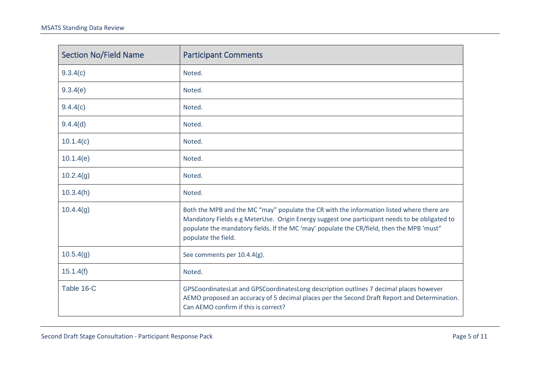| <b>Section No/Field Name</b> | <b>Participant Comments</b>                                                                                                                                                                                                                                                                                    |
|------------------------------|----------------------------------------------------------------------------------------------------------------------------------------------------------------------------------------------------------------------------------------------------------------------------------------------------------------|
| 9.3.4(c)                     | Noted.                                                                                                                                                                                                                                                                                                         |
| 9.3.4(e)                     | Noted.                                                                                                                                                                                                                                                                                                         |
| 9.4.4(c)                     | Noted.                                                                                                                                                                                                                                                                                                         |
| 9.4.4(d)                     | Noted.                                                                                                                                                                                                                                                                                                         |
| 10.1.4(c)                    | Noted.                                                                                                                                                                                                                                                                                                         |
| 10.1.4(e)                    | Noted.                                                                                                                                                                                                                                                                                                         |
| 10.2.4(g)                    | Noted.                                                                                                                                                                                                                                                                                                         |
| 10.3.4(h)                    | Noted.                                                                                                                                                                                                                                                                                                         |
| 10.4.4(g)                    | Both the MPB and the MC "may" populate the CR with the information listed where there are<br>Mandatory Fields e.g MeterUse. Origin Energy suggest one participant needs to be obligated to<br>populate the mandatory fields. If the MC 'may' populate the CR/field, then the MPB 'must"<br>populate the field. |
| 10.5.4(g)                    | See comments per 10.4.4(g).                                                                                                                                                                                                                                                                                    |
| 15.1.4(f)                    | Noted.                                                                                                                                                                                                                                                                                                         |
| Table 16-C                   | GPSCoordinatesLat and GPSCoordinatesLong description outlines 7 decimal places however<br>AEMO proposed an accuracy of 5 decimal places per the Second Draft Report and Determination.<br>Can AEMO confirm if this is correct?                                                                                 |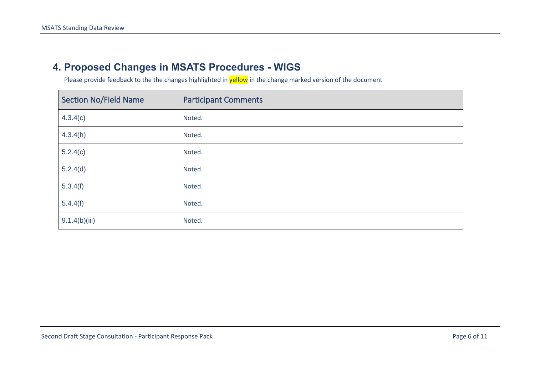#### **4. Proposed Changes in MSATS Procedures - WIGS**

Please provide feedback to the the changes highlighted in **yellow** in the change marked version of the document

<span id="page-5-0"></span>

| <b>Section No/Field Name</b> | <b>Participant Comments</b> |
|------------------------------|-----------------------------|
| 4.3.4(c)                     | Noted.                      |
| 4.3.4(h)                     | Noted.                      |
| 5.2.4(c)                     | Noted.                      |
| 5.2.4(d)                     | Noted.                      |
| 5.3.4(f)                     | Noted.                      |
| 5.4.4(f)                     | Noted.                      |
| 9.1.4(b)(iii)                | Noted.                      |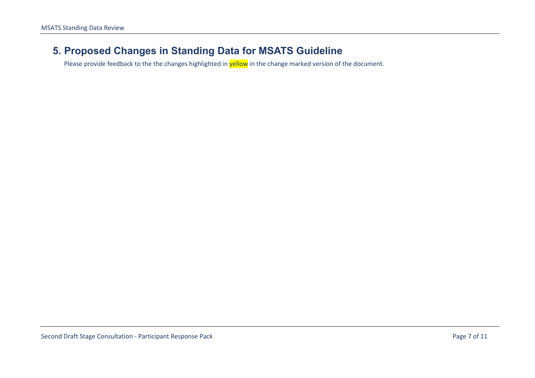#### **5. Proposed Changes in Standing Data for MSATS Guideline**

<span id="page-6-0"></span>Please provide feedback to the the changes highlighted in **yellow** in the change marked version of the document.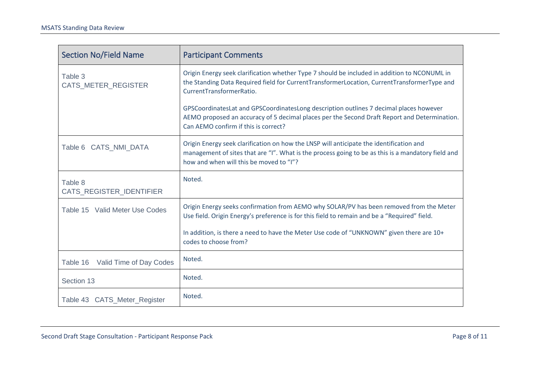| <b>Section No/Field Name</b>               | <b>Participant Comments</b>                                                                                                                                                                                                              |
|--------------------------------------------|------------------------------------------------------------------------------------------------------------------------------------------------------------------------------------------------------------------------------------------|
| Table 3<br>CATS_METER_REGISTER             | Origin Energy seek clarification whether Type 7 should be included in addition to NCONUML in<br>the Standing Data Required field for CurrentTransformerLocation, CurrentTransformerType and<br>CurrentTransformerRatio.                  |
|                                            | GPSCoordinatesLat and GPSCoordinatesLong description outlines 7 decimal places however<br>AEMO proposed an accuracy of 5 decimal places per the Second Draft Report and Determination.<br>Can AEMO confirm if this is correct?           |
| Table 6 CATS_NMI_DATA                      | Origin Energy seek clarification on how the LNSP will anticipate the identification and<br>management of sites that are "I". What is the process going to be as this is a mandatory field and<br>how and when will this be moved to "I"? |
| Table 8<br><b>CATS REGISTER IDENTIFIER</b> | Noted.                                                                                                                                                                                                                                   |
| Table 15 Valid Meter Use Codes             | Origin Energy seeks confirmation from AEMO why SOLAR/PV has been removed from the Meter<br>Use field. Origin Energy's preference is for this field to remain and be a "Required" field.                                                  |
|                                            | In addition, is there a need to have the Meter Use code of "UNKNOWN" given there are 10+<br>codes to choose from?                                                                                                                        |
| Table 16<br>Valid Time of Day Codes        | Noted.                                                                                                                                                                                                                                   |
| Section 13                                 | Noted.                                                                                                                                                                                                                                   |
| Table 43 CATS_Meter_Register               | Noted.                                                                                                                                                                                                                                   |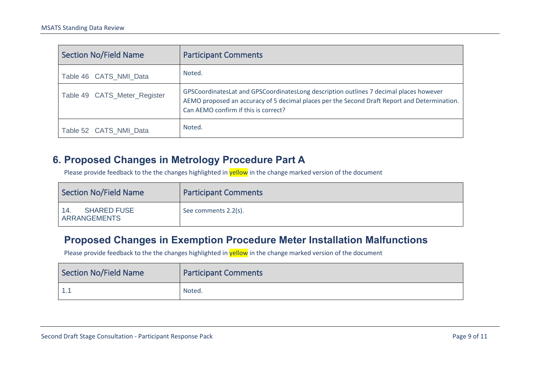| <b>Section No/Field Name</b> | <b>Participant Comments</b>                                                                                                                                                                                                    |
|------------------------------|--------------------------------------------------------------------------------------------------------------------------------------------------------------------------------------------------------------------------------|
| Table 46 CATS NMI Data       | Noted.                                                                                                                                                                                                                         |
| Table 49 CATS_Meter_Register | GPSCoordinatesLat and GPSCoordinatesLong description outlines 7 decimal places however<br>AEMO proposed an accuracy of 5 decimal places per the Second Draft Report and Determination.<br>Can AEMO confirm if this is correct? |
| Table 52 CATS_NMI_Data       | Noted.                                                                                                                                                                                                                         |

#### **6. Proposed Changes in Metrology Procedure Part A**

Please provide feedback to the the changes highlighted in yellow in the change marked version of the document

| Section No/Field Name                            | <b>Participant Comments</b> |
|--------------------------------------------------|-----------------------------|
| <b>SHARED FUSE</b><br>14.<br><b>ARRANGEMENTS</b> | See comments 2.2(s).        |

#### **Proposed Changes in Exemption Procedure Meter Installation Malfunctions**

Please provide feedback to the the changes highlighted in yellow in the change marked version of the document

<span id="page-8-1"></span><span id="page-8-0"></span>

| Section No/Field Name | <b>Participant Comments</b> |
|-----------------------|-----------------------------|
|                       | Noted.                      |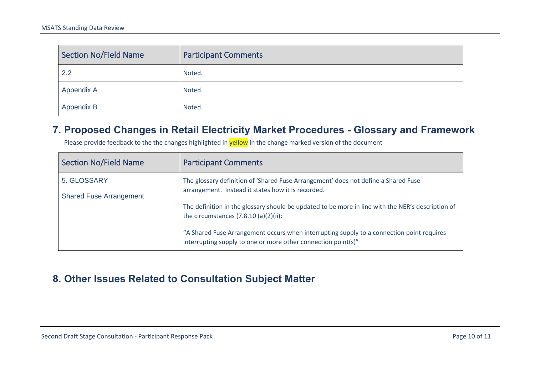| Section No/Field Name | <b>Participant Comments</b> |
|-----------------------|-----------------------------|
| 2.2                   | Noted.                      |
| Appendix A            | Noted.                      |
| Appendix B            | Noted.                      |

#### **7. Proposed Changes in Retail Electricity Market Procedures - Glossary and Framework**

Please provide feedback to the the changes highlighted in yellow in the change marked version of the document

| <b>Section No/Field Name</b>   | <b>Participant Comments</b>                                                                                                                                |
|--------------------------------|------------------------------------------------------------------------------------------------------------------------------------------------------------|
| 5. GLOSSARY                    | The glossary definition of 'Shared Fuse Arrangement' does not define a Shared Fuse<br>arrangement. Instead it states how it is recorded.                   |
| <b>Shared Fuse Arrangement</b> |                                                                                                                                                            |
|                                | The definition in the glossary should be updated to be more in line with the NER's description of<br>the circumstances $(7.8.10 (a)(2)(ii)$ :              |
|                                | "A Shared Fuse Arrangement occurs when interrupting supply to a connection point requires<br>interrupting supply to one or more other connection point(s)" |

### <span id="page-9-1"></span><span id="page-9-0"></span>**8. Other Issues Related to Consultation Subject Matter**